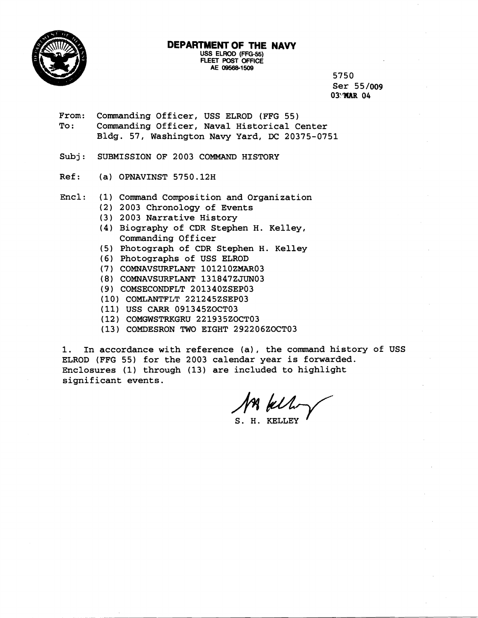

# **DEPARTMENT OF THE NAVY**

**USS ELROD (FFG-5S) FLEET POST OFFICE AE 09568-1509** 

**5750 Ser 55/009** 

- **From: Commanding Officer, USS ELROD (FFG 55) To** : **Commanding Officer, Naval Historical Center Bldg. 57, Washington Navy Yard, DC 20375-0751**
- **Subj: SUBMISSION OF 2003 COMMAND HISTORY**
- **Ref: (a) OPNAVINST 5750.12H**
- **Encl: (1) Command Composition and Organization** 
	- **(2) 2003 Chronology of Events**
	- **(3) 2003 Narrative History**
	- **(4) Biography of CDR Stephen H. Kelley, Commanding Officer**
	- **(5) Photograph of CDR Stephen H. Kelley**
	- **(6) Photographs of USS ELROD**
	- ( **7** ) **COMNAVSURFLANT 10 12 10 ZMARO 3**
	- ( **8** ) **COMNAVSURFLANT 13 1847 ZJUN03**
	- **(9) COMSECONDFLT 201340ZSEP03**
	- **(10) COMLANTFLT 221245ZSEP03**
	- **(11) USS CARR 091345ZOCT03**
	- **(12) COMGWSTRKGRU 221935ZOCT03**
	- **(13) COMDESRON TWO EIGHT 292206ZOCT03**

**1. In accordance with reference (a), the command history of USS ELROD (FFG 55) for the 2003 calendar year is forwarded. Enclosures (1) through (13) are included to highlight significant events.** 

**S. H. KELLEY** '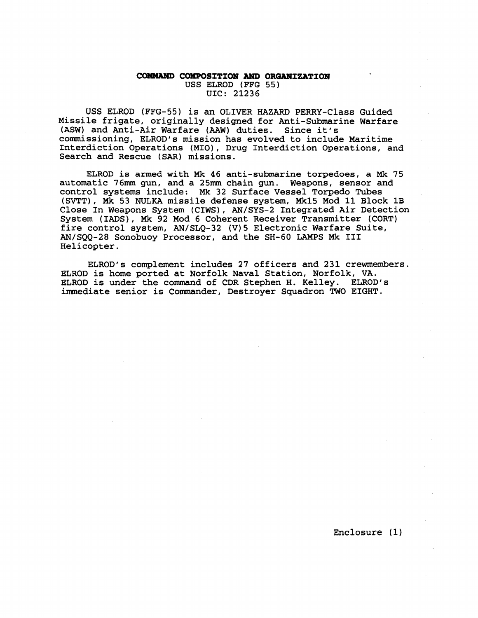#### **COMMAND COMPOSITION AND ORGANIZATION USS ELROD (FFG 55) UIC: 21236**

**USS ELROD (FFG-55) is an OLIVER HAZARD PERRY-Class Guided Missile frigate, originally designed for Anti-Submarine Warfare (ASW) and Anti-Air Warfare (AAW) duties. Since it's commissioning, ELROD's mission has evolved to include Maritime Interdiction Operations (MIO), Drug Interdiction Operations, and Search and Rescue (SAR) missions.** 

**ELROD is armed with Mk 46 anti-submarine torpedoes, a Mk 75 automatic 76m gun, and a 25m chain gun. Weapons, sensor and control systems include: Mk 32 Surface Vessel Torpedo Tubes (SVTT), Mk 53 NULKA missile defense system, Mk15 Mod 11 Block 1B Close In Weapons System (CIWS), AN/SYS-2 Integrated Air Detection System (IADS), Mk 92 Mod 6 Coherent Receiver Transmitter (CORT) fire control system, AN/SLQ-32 (V)5 Electronic Warfare Suite, AN/SQQ-28 Sonobuoy Processor, and the SK-60 LAMPS Mk I11 Helicopter.** 

ELROD's complement includes 27 officers and 231 crewmembers. **ELROD is home ported at Norfolk Naval Station, Norfolk, VA.**  ELROD is under the command of CDR Stephen H. Kelley. ELROD's **immediate senior is Commander, Destroyer Squadron TWO EIGHT.**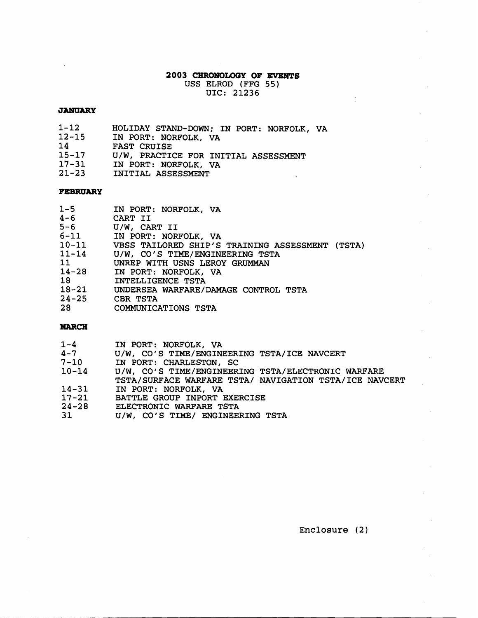# **2003 CHRONOLOGY OF EVENTS**

USS ELROD (FFG 55) UIC: **21236** 

 $\sim 10^{11}$ 

### **JANUARY**

 $\ddot{\phantom{a}}$ 

- $1 12$ HOLIDAY STAND-DOWN; IN PORT: NORFOLK, VA
- $12 15$ IN PORT: NORFOLK, VA
- 14 FAST CRUISE
- $15 17$ U/W, PRACTICE FOR INITIAL ASSESSMENT
- $17 31$ IN PORT: NORFOLK, VA
- $21 23$ INITIAL ASSESSMENT

### **FEBRUARY**

| $1 - 5$   | IN PORT: NORFOLK, VA                            |
|-----------|-------------------------------------------------|
| $4 - 6$   | CART II                                         |
| $5 - 6$   | U/W, CART II                                    |
|           | 6-11 IN PORT: NORFOLK, VA                       |
| $10 - 11$ | VBSS TAILORED SHIP'S TRAINING ASSESSMENT (TSTA) |
| $11 - 14$ | U/W, CO'S TIME/ENGINEERING TSTA                 |
| 11        | UNREP WITH USNS LEROY GRUMMAN                   |
| $14 - 28$ | IN PORT: NORFOLK, VA                            |
| 18        | INTELLIGENCE TSTA                               |
| $18 - 21$ | UNDERSEA WARFARE/DAMAGE CONTROL TSTA            |
| $24 - 25$ | CBR TSTA                                        |
| 28        | COMMUNICATIONS TSTA                             |

### **MARCH**

| $1 - 4$   | IN PORT: NORFOLK, VA                                   |
|-----------|--------------------------------------------------------|
| $4 - 7$   | U/W, CO'S TIME/ENGINEERING TSTA/ICE NAVCERT            |
| $7 - 10$  | IN PORT: CHARLESTON, SC                                |
| $10 - 14$ | U/W, CO'S TIME/ENGINEERING TSTA/ELECTRONIC WARFARE     |
|           | TSTA/SURFACE WARFARE TSTA/ NAVIGATION TSTA/ICE NAVCERT |
| $14 - 31$ | IN PORT: NORFOLK, VA                                   |
| $17 - 21$ | BATTLE GROUP INPORT EXERCISE                           |
| $24 - 28$ | ELECTRONIC WARFARE TSTA                                |
| 31        | U/W, CO'S TIME/ ENGINEERING TSTA                       |

Enclosure (2)

 $\mathcal{L}_{\mathrm{in}}$ 

 $\sim$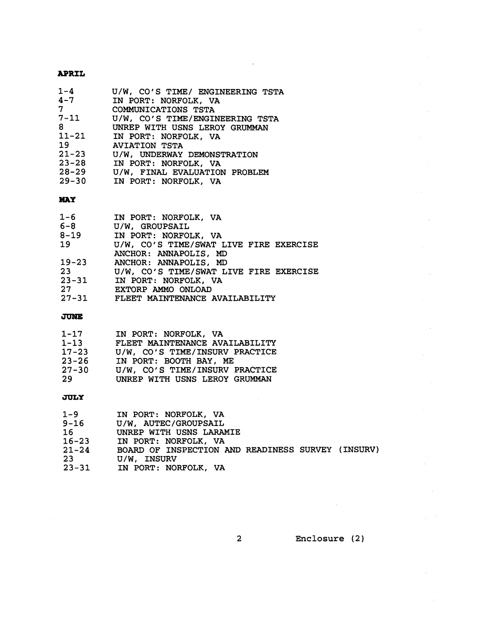### **APRIL**

| $1 - 4$    | U/W, CO'S TIME/ ENGINEERING TSTA |
|------------|----------------------------------|
|            | 4-7 IN PORT: NORFOLK, VA         |
| $7\degree$ | COMMUNICATIONS TSTA              |
| $7 - 11$   | U/W, CO'S TIME/ENGINEERING TSTA  |
| 8          | UNREP WITH USNS LEROY GRUMMAN    |
| $11 - 21$  | IN PORT: NORFOLK, VA             |
| 19         | <b>AVIATION TSTA</b>             |
| $21 - 23$  | U/W, UNDERWAY DEMONSTRATION      |
| $23 - 28$  | IN PORT: NORFOLK, VA             |
| $28 - 29$  | U/W, FINAL EVALUATION PROBLEM    |
| $29 - 30$  | IN PORT: NORFOLK, VA             |
|            |                                  |

### **MAY**

| $1 - 6$<br>$6 - 8$ | IN PORT: NORFOLK, VA<br>U/W, GROUPSAIL |
|--------------------|----------------------------------------|
| $8 - 19$           | IN PORT: NORFOLK, VA                   |
| 19                 | U/W, CO'S TIME/SWAT LIVE FIRE EXERCISE |
|                    | ANCHOR: ANNAPOLIS, MD                  |
| $19 - 23$          | ANCHOR: ANNAPOLIS, MD                  |
| 23                 | U/W, CO'S TIME/SWAT LIVE FIRE EXERCISE |
| $23 - 31$          | IN PORT: NORFOLK, VA                   |
| 27                 | EXTORP AMMO ONLOAD                     |
| $27 - 31$          | FLEET MAINTENANCE AVAILABILITY         |

### **JUNE**

| $1 - 17$  | IN PORT: NORFOLK, VA           |
|-----------|--------------------------------|
| $1 - 13$  | FLEET MAINTENANCE AVAILABILITY |
| $17 - 23$ | U/W, CO'S TIME/INSURV PRACTICE |
| $23 - 26$ | IN PORT: BOOTH BAY, ME         |
| $27 - 30$ | U/W, CO'S TIME/INSURV PRACTICE |
| 29        | UNREP WITH USNS LEROY GRUMMAN  |

## **JULY**

| 1-9       | IN PORT: NORFOLK, VA                              |
|-----------|---------------------------------------------------|
| $9 - 16$  | U/W, AUTEC/GROUPSAIL                              |
| 16        | UNREP WITH USNS LARAMIE                           |
| $16 - 23$ | IN PORT: NORFOLK, VA                              |
| $21 - 24$ | BOARD OF INSPECTION AND READINESS SURVEY (INSURV) |
| 23        | U/W, INSURV                                       |
| $23 - 31$ | IN PORT: NORFOLK, VA                              |

**Enclosure (2)** 

 $\bar{z}$ 

 $\overline{2}$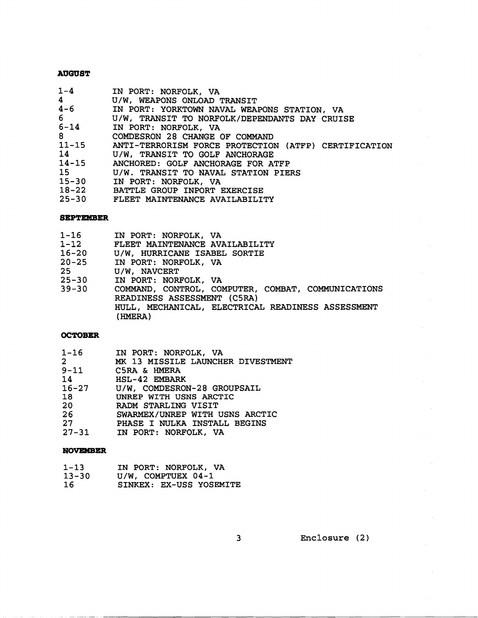#### **AUGUST**

| $1-4$                                     | IN PORT: NORFOLK, VA                                                                                                                                                                                                                                                        |
|-------------------------------------------|-----------------------------------------------------------------------------------------------------------------------------------------------------------------------------------------------------------------------------------------------------------------------------|
| $\overline{4}$                            | U/W, WEAPONS ONLOAD TRANSIT                                                                                                                                                                                                                                                 |
| $4-6$                                     | IN PORT: YORKTOWN NAVAL WEAPONS STATION, VA                                                                                                                                                                                                                                 |
| $6 -$                                     | U/W, TRANSIT TO NORFOLK/DEPENDANTS DAY CRUISE                                                                                                                                                                                                                               |
| $6 - 14$                                  | IN PORT: NORFOLK, VA                                                                                                                                                                                                                                                        |
| $8 - 8$                                   | COMDESRON 28 CHANGE OF COMMAND                                                                                                                                                                                                                                              |
| $11 - 15$<br>15<br>$15 - 30$<br>$18 - 22$ | ANTI-TERRORISM FORCE PROTECTION (ATFP) CERTIFICATION<br>14 U/W, TRANSIT TO GOLF ANCHORAGE<br>14-15 ANCHORED: GOLF ANCHORAGE FOR ATFP<br>U/W. TRANSIT TO NAVAL STATION PIERS<br>IN PORT: NORFOLK, VA<br>BATTLE GROUP INPORT EXERCISE<br>25-30 FLEET MAINTENANCE AVAILABILITY |

#### **SEPTEMBER**

| 1-16      | IN PORT: NORFOLK, VA                                         |
|-----------|--------------------------------------------------------------|
| 1-12      | FLEET MAINTENANCE AVAILABILITY                               |
| 16-20     | U/W, HURRICANE ISABEL SORTIE                                 |
|           | 20-25 IN PORT: NORFOLK, VA                                   |
| 25 —      | U/W, NAVCERT                                                 |
| 25-30     | IN PORT: NORFOLK, VA                                         |
| $39 - 30$ | COMMAND, CONTROL, COMPUTER, COMBAT, COMMUNICATIONS           |
|           | READINESS ASSESSMENT (C5RA)                                  |
|           | HULL, MECHANICAL, ELECTRICAL READINESS ASSESSMENT<br>(HMERA) |

#### **OCTOBER**

| IN PORT: NORFOLK, VA | $1 - 16$ |  |  |  |  |  |
|----------------------|----------|--|--|--|--|--|
|----------------------|----------|--|--|--|--|--|

|  |  | MK 13 MISSILE LAUNCHER DIVESTMENT |
|--|--|-----------------------------------|
|  |  |                                   |

| C5RA & HMERA | $9 - 11$ |  |  |  |
|--------------|----------|--|--|--|
|--------------|----------|--|--|--|

 $14$ HSL-42 EMBARK

- $16 27$ U/W, COMDESRON-28 GROUPSAIL
- **UNREP** WITH USNS ARCTIC 18
- **RADM** STARLING VISIT  $20<sub>o</sub>$
- $26$ SWARMEX/UNREP WITH USNS ARCTIC
- $27$ PHASE I NULKA INSTALL BEGINS
- $27 31$ IN PORT: NORFOLK, VA

#### **NOVEMBER**

| $1 - 13$ |  | IN PORT: NORFOLK, VA |  |
|----------|--|----------------------|--|
| ----     |  |                      |  |

- 13-30 U/W, COMPTUEX **04-1**
- **16** SINKEX: EX-USS YOSEMITE

Enclosure (2)

 $3<sup>7</sup>$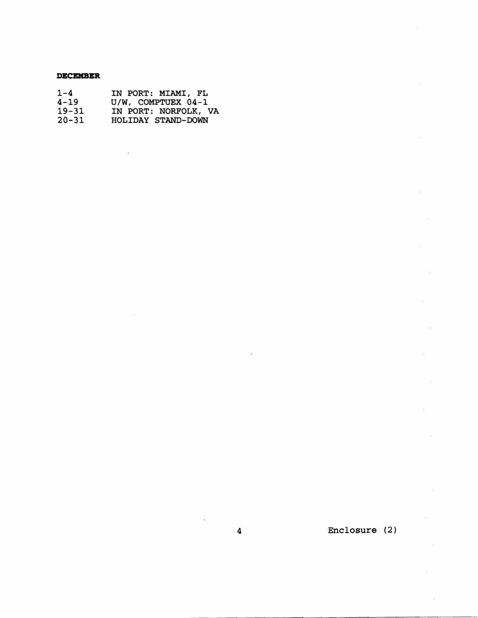#### **DECEMBER**

| $1 - 4$   | IN PORT: MIAMI, FL   |
|-----------|----------------------|
| $4 - 19$  | U/W, COMPTUEX 04-1   |
| $19 - 31$ | IN PORT: NORFOLK, VA |
| $20 - 31$ | HOLIDAY STAND-DOWN   |

**Enclosure (2** )

 $\boldsymbol{4}$ 

 $\ddot{\phantom{a}}$ 

 $\ddot{\phantom{a}}$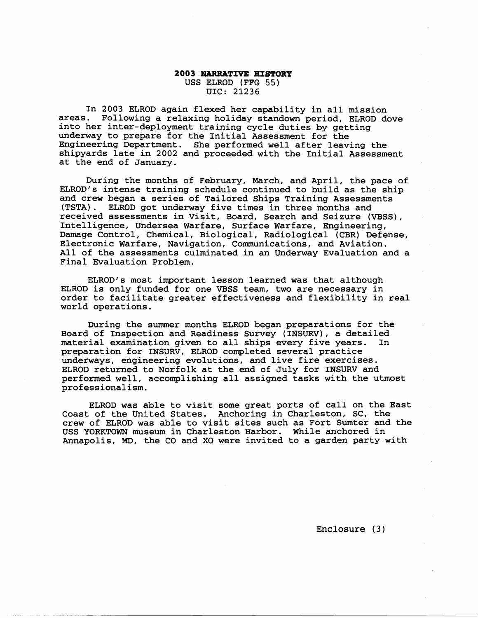#### **2003 NARRATIVE HISTORY** USS ELROD (FFG 55) UIC: 21236

In **2003** ELROD again flexed her capability in all mission areas. Following a relaxing holiday standown period, ELROD dove into her inter-deployment training cycle duties by getting underway to prepare for the Initial Assessment for the Engineering Department. She performed well after leaving the shipyards late in **2002** and proceeded with the Initial Assessment at the end of January.

During the months of February, March, and April, the pace of ELROD's intense training schedule continued to build as the ship and crew began a series of Tailored Ships Training Assessments (TSTA). ELROD got underway five times in three months and received assessments in Visit, Board, Search and Seizure (VBSS), Intelligence, Undersea Warfare, Surface Warfare, Engineering, Damage Control, Chemical, Biological, Radiological (CBR) Defense, Electronic Warfare, Navigation, Communications, and Aviation. All of the assessments culminated in an Underway Evaluation and a Final Evaluation Problem.

ELROD's most important lesson learned was that although ELROD is only funded for one VBSS team, two are necessary in order to facilitate greater effectiveness and flexibility in real world operations.

During the summer months ELROD began preparations for the Board of Inspection and Readiness Survey (INSURV), a detailed material examination given to all ships every five years. preparation for INSURV, ELROD completed several practice underways, engineering evolutions, and live fire exercises. ELROD returned to Norfolk at the end of July for INSURV and performed well, accomplishing all assigned tasks with the utmost professionalism.

ELROD was able to visit some great ports of call on the East Coast of the United States. Anchoring in Charleston, SC, the crew of ELROD was able to visit sites such as Fort Sumter and the USS YORKTOWN museum in Charleston Harbor. While anchored in Annapolis, **MD,** the CO and XO were invited to a garden party with

Enclosure (3)